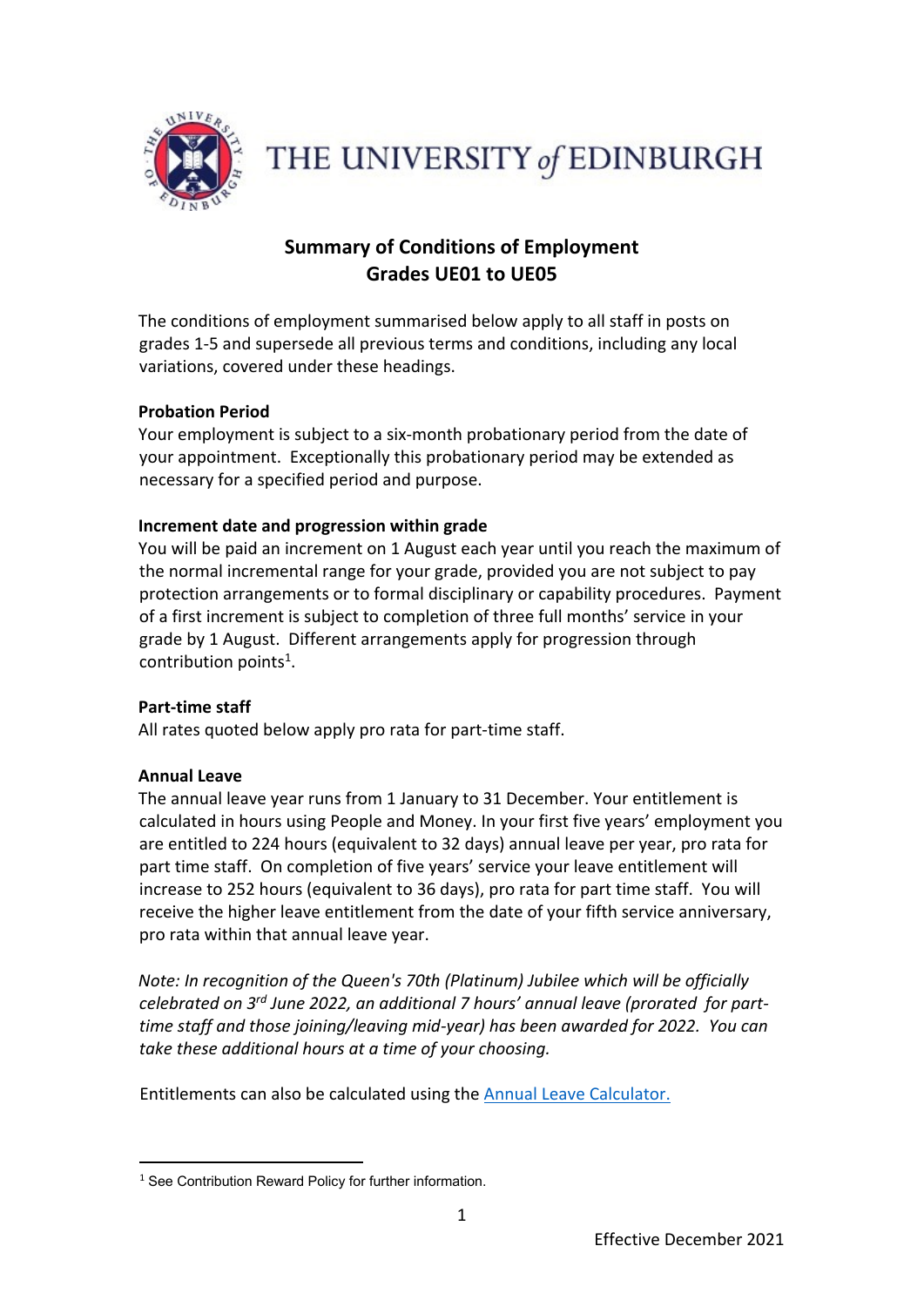

THE UNIVERSITY of EDINBURGH

# **Summary of Conditions of Employment Grades UE01 to UE05**

The conditions of employment summarised below apply to all staff in posts on grades 1-5 and supersede all previous terms and conditions, including any local variations, covered under these headings.

# **Probation Period**

Your employment is subject to a six-month probationary period from the date of your appointment. Exceptionally this probationary period may be extended as necessary for a specified period and purpose.

### **Increment date and progression within grade**

You will be paid an increment on 1 August each year until you reach the maximum of the normal incremental range for your grade, provided you are not subject to pay protection arrangements or to formal disciplinary or capability procedures. Payment of a first increment is subject to completion of three full months' service in your grade by 1 August. Different arrangements apply for progression through contribution points<sup>1</sup>.

# **Part-time staff**

All rates quoted below apply pro rata for part-time staff.

#### **Annual Leave**

-

The annual leave year runs from 1 January to 31 December. Your entitlement is calculated in hours using People and Money. In your first five years' employment you are entitled to 224 hours (equivalent to 32 days) annual leave per year, pro rata for part time staff. On completion of five years' service your leave entitlement will increase to 252 hours (equivalent to 36 days), pro rata for part time staff. You will receive the higher leave entitlement from the date of your fifth service anniversary, pro rata within that annual leave year.

*Note: In recognition of the Queen's 70th (Platinum) Jubilee which will be officially celebrated on 3rd June 2022, an additional 7 hours' annual leave (prorated for parttime staff and those joining/leaving mid-year) has been awarded for 2022. You can take these additional hours at a time of your choosing.* 

Entitlements can also be calculated using the [Annual Leave Calculator.](https://www.ed.ac.uk/human-resources/staff-benefits/annual-leave)

<sup>&</sup>lt;sup>1</sup> See Contribution Reward Policy for further information.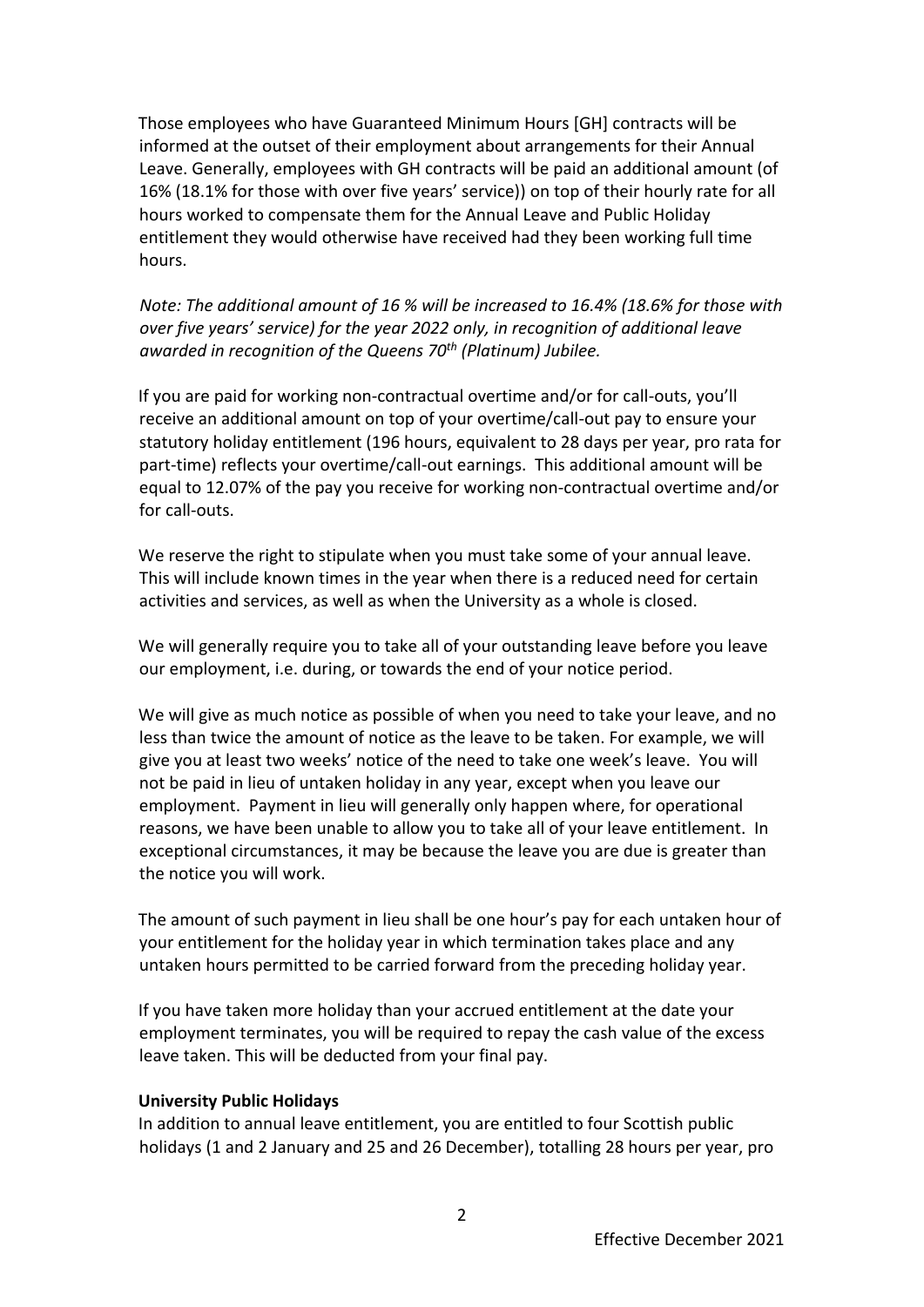Those employees who have Guaranteed Minimum Hours [GH] contracts will be informed at the outset of their employment about arrangements for their Annual Leave. Generally, employees with GH contracts will be paid an additional amount (of 16% (18.1% for those with over five years' service)) on top of their hourly rate for all hours worked to compensate them for the Annual Leave and Public Holiday entitlement they would otherwise have received had they been working full time hours.

*Note: The additional amount of 16 % will be increased to 16.4% (18.6% for those with over five years' service) for the year 2022 only, in recognition of additional leave awarded in recognition of the Queens 70th (Platinum) Jubilee.*

If you are paid for working non-contractual overtime and/or for call-outs, you'll receive an additional amount on top of your overtime/call-out pay to ensure your statutory holiday entitlement (196 hours, equivalent to 28 days per year, pro rata for part-time) reflects your overtime/call-out earnings. This additional amount will be equal to 12.07% of the pay you receive for working non-contractual overtime and/or for call-outs.

We reserve the right to stipulate when you must take some of your annual leave. This will include known times in the year when there is a reduced need for certain activities and services, as well as when the University as a whole is closed.

We will generally require you to take all of your outstanding leave before you leave our employment, i.e. during, or towards the end of your notice period.

We will give as much notice as possible of when you need to take your leave, and no less than twice the amount of notice as the leave to be taken. For example, we will give you at least two weeks' notice of the need to take one week's leave. You will not be paid in lieu of untaken holiday in any year, except when you leave our employment. Payment in lieu will generally only happen where, for operational reasons, we have been unable to allow you to take all of your leave entitlement. In exceptional circumstances, it may be because the leave you are due is greater than the notice you will work.

The amount of such payment in lieu shall be one hour's pay for each untaken hour of your entitlement for the holiday year in which termination takes place and any untaken hours permitted to be carried forward from the preceding holiday year.

If you have taken more holiday than your accrued entitlement at the date your employment terminates, you will be required to repay the cash value of the excess leave taken. This will be deducted from your final pay.

#### **University Public Holidays**

In addition to annual leave entitlement, you are entitled to four Scottish public holidays (1 and 2 January and 25 and 26 December), totalling 28 hours per year, pro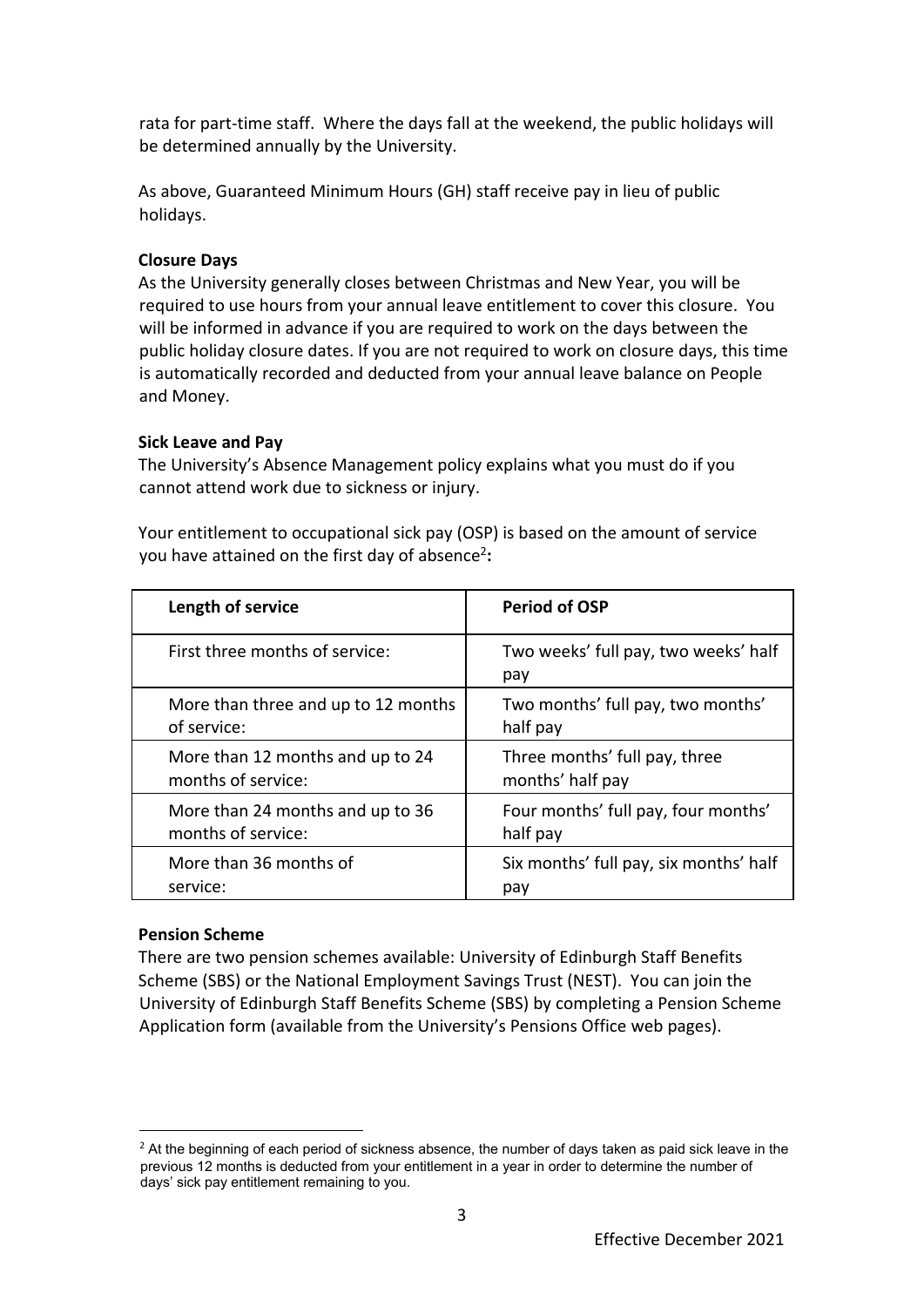rata for part-time staff. Where the days fall at the weekend, the public holidays will be determined annually by the University.

As above, Guaranteed Minimum Hours (GH) staff receive pay in lieu of public holidays.

### **Closure Days**

As the University generally closes between Christmas and New Year, you will be required to use hours from your annual leave entitlement to cover this closure. You will be informed in advance if you are required to work on the days between the public holiday closure dates. If you are not required to work on closure days, this time is automatically recorded and deducted from your annual leave balance on People and Money.

### **Sick Leave and Pay**

The University's Absence Management policy explains what you must do if you cannot attend work due to sickness or injury.

Your entitlement to occupational sick pay (OSP) is based on the amount of service you have attained on the first day of absence<sup>2</sup>:

| Length of service                   | <b>Period of OSP</b>                        |
|-------------------------------------|---------------------------------------------|
| First three months of service:      | Two weeks' full pay, two weeks' half<br>pay |
| More than three and up to 12 months | Two months' full pay, two months'           |
| of service:                         | half pay                                    |
| More than 12 months and up to 24    | Three months' full pay, three               |
| months of service:                  | months' half pay                            |
| More than 24 months and up to 36    | Four months' full pay, four months'         |
| months of service:                  | half pay                                    |
| More than 36 months of              | Six months' full pay, six months' half      |
| service:                            | pay                                         |

# **Pension Scheme**

-

There are two pension schemes available: University of Edinburgh Staff Benefits Scheme (SBS) or the National Employment Savings Trust (NEST). You can join the University of Edinburgh Staff Benefits Scheme (SBS) by completing a Pension Scheme Application form (available from the University's Pensions Office web pages).

 $<sup>2</sup>$  At the beginning of each period of sickness absence, the number of days taken as paid sick leave in the</sup> previous 12 months is deducted from your entitlement in a year in order to determine the number of days' sick pay entitlement remaining to you.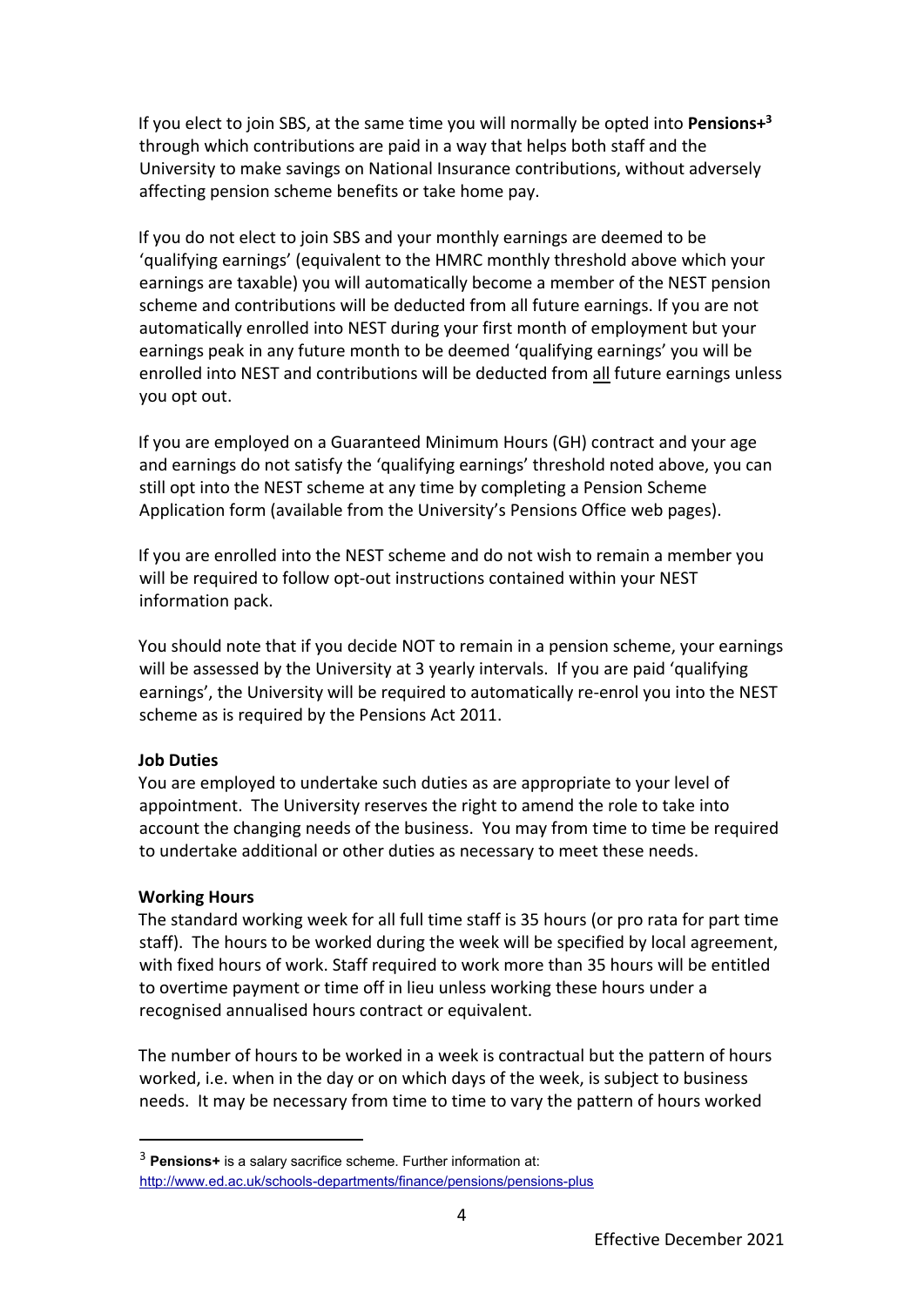If you elect to join SBS, at the same time you will normally be opted into **Pensions+<sup>3</sup>** through which contributions are paid in a way that helps both staff and the University to make savings on National Insurance contributions, without adversely affecting pension scheme benefits or take home pay.

If you do not elect to join SBS and your monthly earnings are deemed to be 'qualifying earnings' (equivalent to the HMRC monthly threshold above which your earnings are taxable) you will automatically become a member of the NEST pension scheme and contributions will be deducted from all future earnings. If you are not automatically enrolled into NEST during your first month of employment but your earnings peak in any future month to be deemed 'qualifying earnings' you will be enrolled into NEST and contributions will be deducted from all future earnings unless you opt out.

If you are employed on a Guaranteed Minimum Hours (GH) contract and your age and earnings do not satisfy the 'qualifying earnings' threshold noted above, you can still opt into the NEST scheme at any time by completing a Pension Scheme Application form (available from the University's Pensions Office web pages).

If you are enrolled into the NEST scheme and do not wish to remain a member you will be required to follow opt-out instructions contained within your NEST information pack.

You should note that if you decide NOT to remain in a pension scheme, your earnings will be assessed by the University at 3 yearly intervals. If you are paid 'qualifying earnings', the University will be required to automatically re-enrol you into the NEST scheme as is required by the Pensions Act 2011.

# **Job Duties**

You are employed to undertake such duties as are appropriate to your level of appointment. The University reserves the right to amend the role to take into account the changing needs of the business. You may from time to time be required to undertake additional or other duties as necessary to meet these needs.

#### **Working Hours**

-

The standard working week for all full time staff is 35 hours (or pro rata for part time staff). The hours to be worked during the week will be specified by local agreement, with fixed hours of work. Staff required to work more than 35 hours will be entitled to overtime payment or time off in lieu unless working these hours under a recognised annualised hours contract or equivalent.

The number of hours to be worked in a week is contractual but the pattern of hours worked, i.e. when in the day or on which days of the week, is subject to business needs. It may be necessary from time to time to vary the pattern of hours worked

<sup>3</sup> **Pensions+** is a salary sacrifice scheme. Further information at: <http://www.ed.ac.uk/schools-departments/finance/pensions/pensions-plus>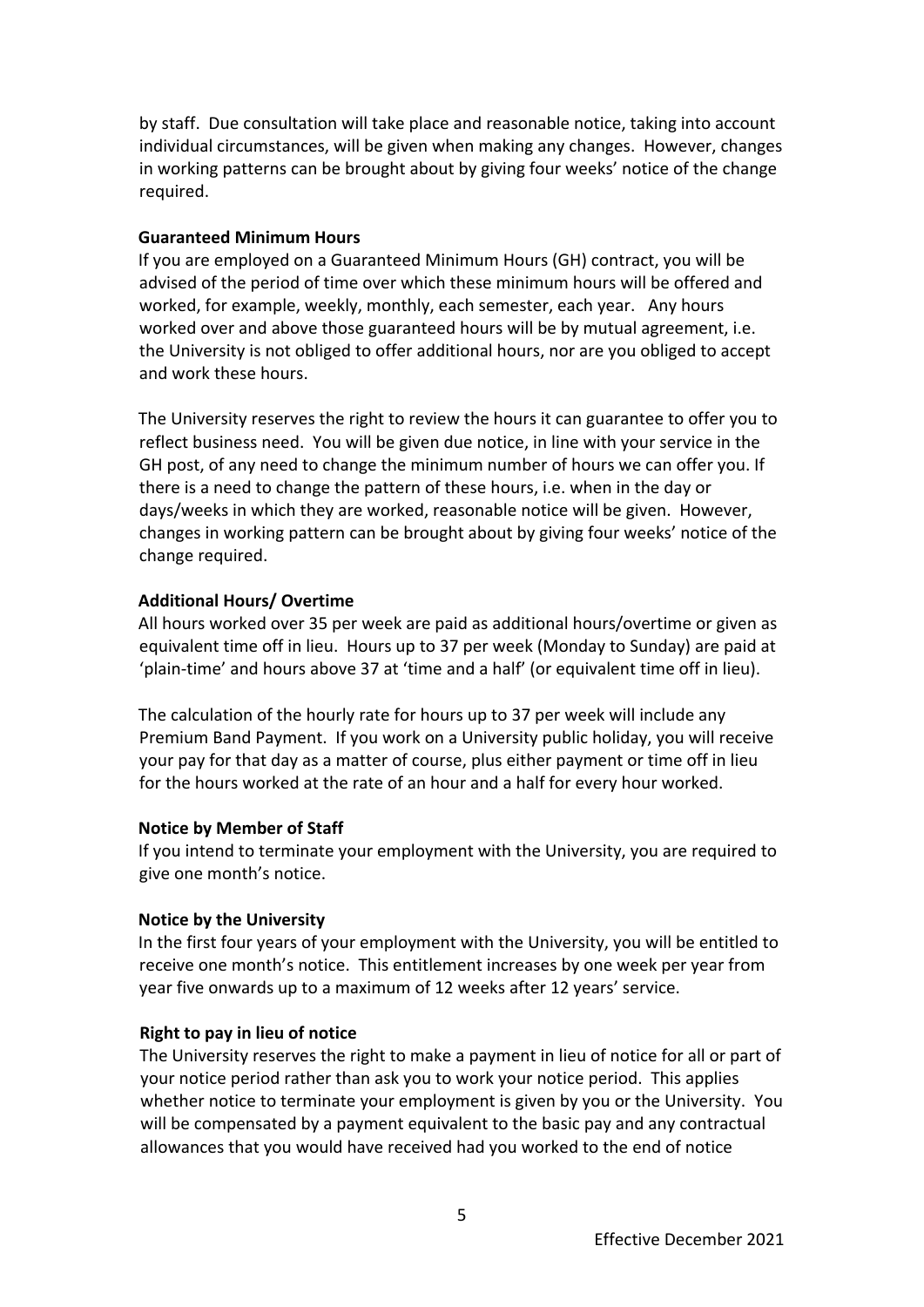by staff. Due consultation will take place and reasonable notice, taking into account individual circumstances, will be given when making any changes. However, changes in working patterns can be brought about by giving four weeks' notice of the change required.

#### **Guaranteed Minimum Hours**

If you are employed on a Guaranteed Minimum Hours (GH) contract, you will be advised of the period of time over which these minimum hours will be offered and worked, for example, weekly, monthly, each semester, each year. Any hours worked over and above those guaranteed hours will be by mutual agreement, i.e. the University is not obliged to offer additional hours, nor are you obliged to accept and work these hours.

The University reserves the right to review the hours it can guarantee to offer you to reflect business need. You will be given due notice, in line with your service in the GH post, of any need to change the minimum number of hours we can offer you. If there is a need to change the pattern of these hours, i.e. when in the day or days/weeks in which they are worked, reasonable notice will be given. However, changes in working pattern can be brought about by giving four weeks' notice of the change required.

#### **Additional Hours/ Overtime**

All hours worked over 35 per week are paid as additional hours/overtime or given as equivalent time off in lieu. Hours up to 37 per week (Monday to Sunday) are paid at 'plain-time' and hours above 37 at 'time and a half' (or equivalent time off in lieu).

The calculation of the hourly rate for hours up to 37 per week will include any Premium Band Payment. If you work on a University public holiday, you will receive your pay for that day as a matter of course, plus either payment or time off in lieu for the hours worked at the rate of an hour and a half for every hour worked.

#### **Notice by Member of Staff**

If you intend to terminate your employment with the University, you are required to give one month's notice.

#### **Notice by the University**

In the first four years of your employment with the University, you will be entitled to receive one month's notice. This entitlement increases by one week per year from year five onwards up to a maximum of 12 weeks after 12 years' service.

#### **Right to pay in lieu of notice**

The University reserves the right to make a payment in lieu of notice for all or part of your notice period rather than ask you to work your notice period. This applies whether notice to terminate your employment is given by you or the University. You will be compensated by a payment equivalent to the basic pay and any contractual allowances that you would have received had you worked to the end of notice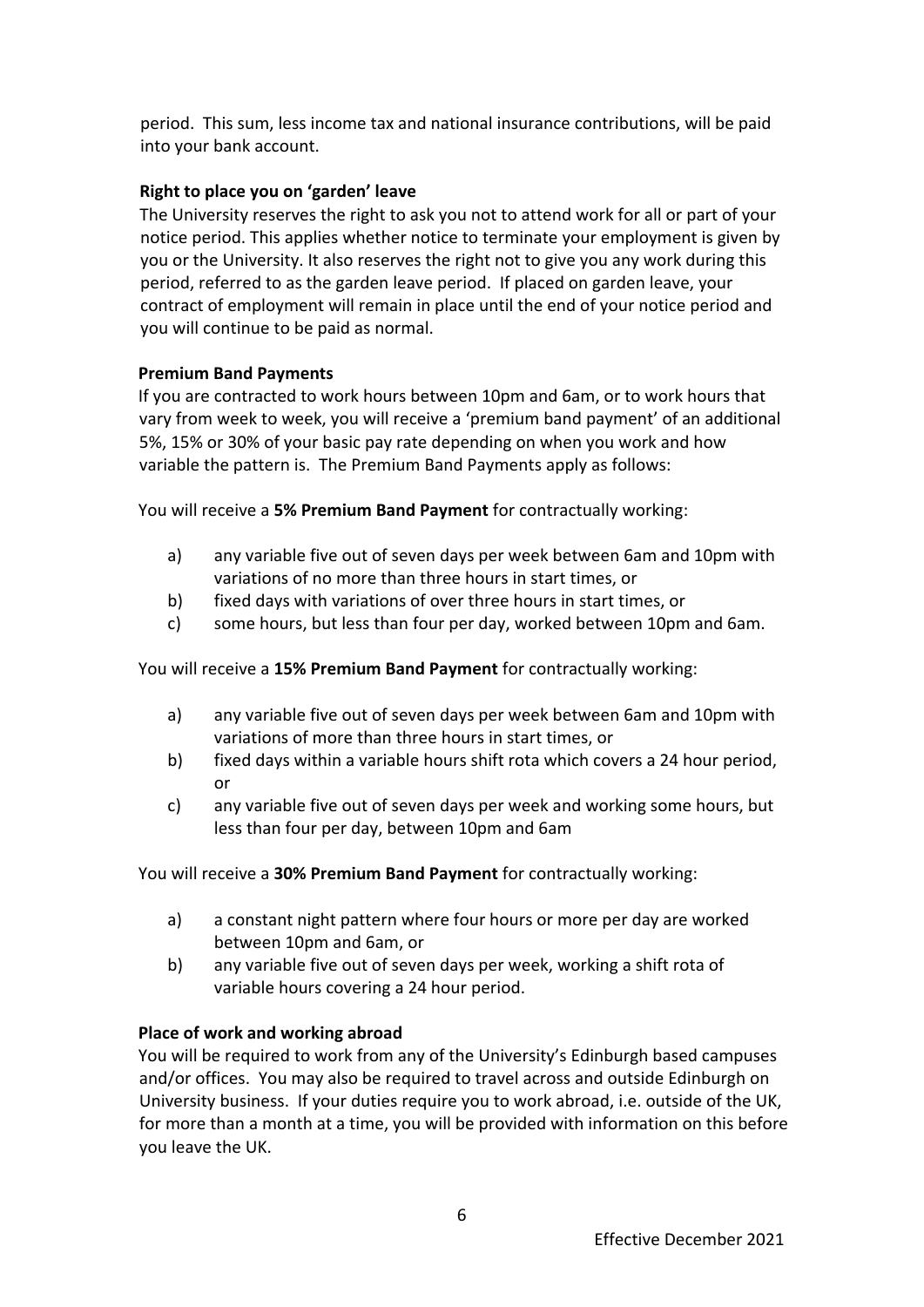period. This sum, less income tax and national insurance contributions, will be paid into your bank account.

# **Right to place you on 'garden' leave**

The University reserves the right to ask you not to attend work for all or part of your notice period. This applies whether notice to terminate your employment is given by you or the University. It also reserves the right not to give you any work during this period, referred to as the garden leave period. If placed on garden leave, your contract of employment will remain in place until the end of your notice period and you will continue to be paid as normal.

### **Premium Band Payments**

If you are contracted to work hours between 10pm and 6am, or to work hours that vary from week to week, you will receive a 'premium band payment' of an additional 5%, 15% or 30% of your basic pay rate depending on when you work and how variable the pattern is. The Premium Band Payments apply as follows:

You will receive a **5% Premium Band Payment** for contractually working:

- a) any variable five out of seven days per week between 6am and 10pm with variations of no more than three hours in start times, or
- b) fixed days with variations of over three hours in start times, or
- c) some hours, but less than four per day, worked between 10pm and 6am.

You will receive a **15% Premium Band Payment** for contractually working:

- a) any variable five out of seven days per week between 6am and 10pm with variations of more than three hours in start times, or
- b) fixed days within a variable hours shift rota which covers a 24 hour period, or
- c) any variable five out of seven days per week and working some hours, but less than four per day, between 10pm and 6am

You will receive a **30% Premium Band Payment** for contractually working:

- a) a constant night pattern where four hours or more per day are worked between 10pm and 6am, or
- b) any variable five out of seven days per week, working a shift rota of variable hours covering a 24 hour period.

# **Place of work and working abroad**

You will be required to work from any of the University's Edinburgh based campuses and/or offices. You may also be required to travel across and outside Edinburgh on University business. If your duties require you to work abroad, i.e. outside of the UK, for more than a month at a time, you will be provided with information on this before you leave the UK.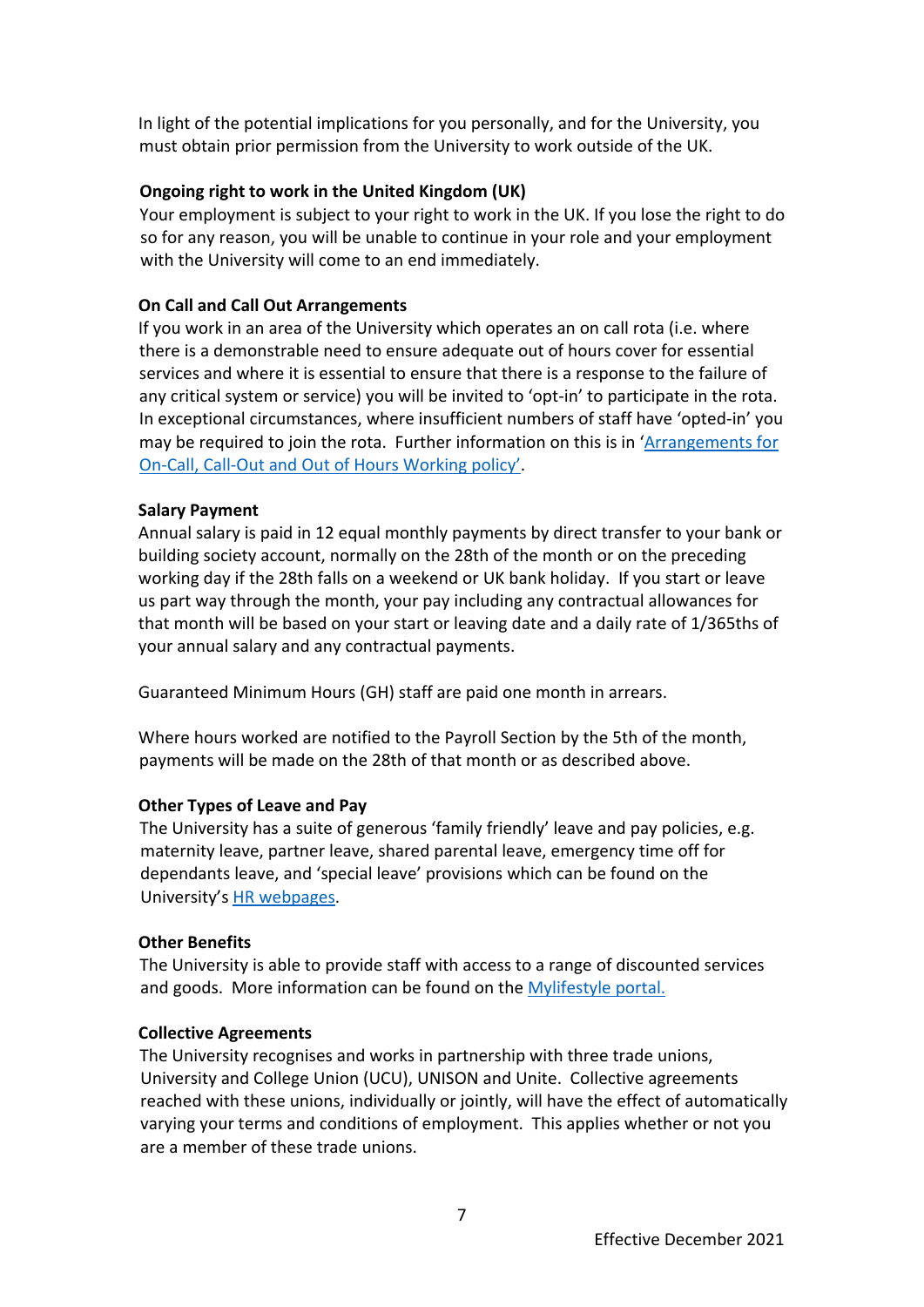In light of the potential implications for you personally, and for the University, you must obtain prior permission from the University to work outside of the UK.

## **Ongoing right to work in the United Kingdom (UK)**

Your employment is subject to your right to work in the UK. If you lose the right to do so for any reason, you will be unable to continue in your role and your employment with the University will come to an end immediately.

### **On Call and Call Out Arrangements**

If you work in an area of the University which operates an on call rota (i.e. where there is a demonstrable need to ensure adequate out of hours cover for essential services and where it is essential to ensure that there is a response to the failure of any critical system or service) you will be invited to 'opt-in' to participate in the rota. In exceptional circumstances, where insufficient numbers of staff have 'opted-in' you may be required to join the rota. Further information on this is in '[Arrangements for](https://www.ed.ac.uk/files/atoms/files/out_of_hours_on-call_policy_.pdf)  [On-Call, Call-Out and Out of Hours Working](https://www.ed.ac.uk/files/atoms/files/out_of_hours_on-call_policy_.pdf) policy'.

### **Salary Payment**

Annual salary is paid in 12 equal monthly payments by direct transfer to your bank or building society account, normally on the 28th of the month or on the preceding working day if the 28th falls on a weekend or UK bank holiday. If you start or leave us part way through the month, your pay including any contractual allowances for that month will be based on your start or leaving date and a daily rate of 1/365ths of your annual salary and any contractual payments.

Guaranteed Minimum Hours (GH) staff are paid one month in arrears.

Where hours worked are notified to the Payroll Section by the 5th of the month, payments will be made on the 28th of that month or as described above.

#### **Other Types of Leave and Pay**

The University has a suite of generous 'family friendly' leave and pay policies, e.g. maternity leave, partner leave, shared parental leave, emergency time off for dependants leave, and 'special leave' provisions which can be found on the University's [HR webpages.](http://www.ed.ac.uk/human-resources)

#### **Other Benefits**

The University is able to provide staff with access to a range of discounted services and goods. More information can be found on the [Mylifestyle portal.](https://uoe.sharepoint.com/sites/human-resources/pay-and-reward/SitePages/Mylifestyle.aspx)

#### **Collective Agreements**

The University recognises and works in partnership with three trade unions, University and College Union (UCU), UNISON and Unite. Collective agreements reached with these unions, individually or jointly, will have the effect of automatically varying your terms and conditions of employment. This applies whether or not you are a member of these trade unions.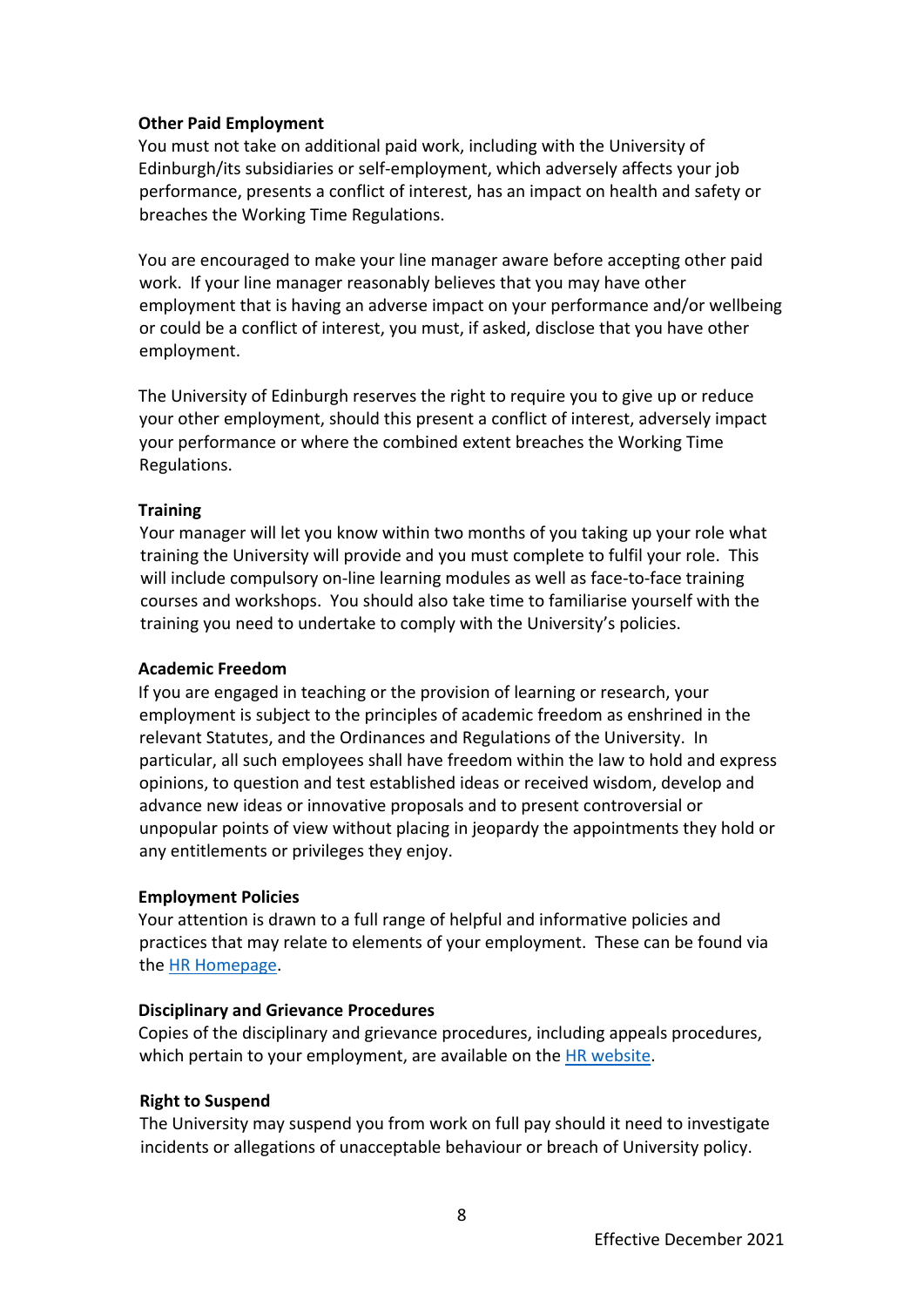### **Other Paid Employment**

You must not take on additional paid work, including with the University of Edinburgh/its subsidiaries or self-employment, which adversely affects your job performance, presents a conflict of interest, has an impact on health and safety or breaches the Working Time Regulations.

You are encouraged to make your line manager aware before accepting other paid work. If your line manager reasonably believes that you may have other employment that is having an adverse impact on your performance and/or wellbeing or could be a conflict of interest, you must, if asked, disclose that you have other employment.

The University of Edinburgh reserves the right to require you to give up or reduce your other employment, should this present a conflict of interest, adversely impact your performance or where the combined extent breaches the Working Time Regulations.

### **Training**

Your manager will let you know within two months of you taking up your role what training the University will provide and you must complete to fulfil your role. This will include compulsory on-line learning modules as well as face-to-face training courses and workshops. You should also take time to familiarise yourself with the training you need to undertake to comply with the University's policies.

#### **Academic Freedom**

If you are engaged in teaching or the provision of learning or research, your employment is subject to the principles of academic freedom as enshrined in the relevant Statutes, and the Ordinances and Regulations of the University. In particular, all such employees shall have freedom within the law to hold and express opinions, to question and test established ideas or received wisdom, develop and advance new ideas or innovative proposals and to present controversial or unpopular points of view without placing in jeopardy the appointments they hold or any entitlements or privileges they enjoy.

#### **Employment Policies**

Your attention is drawn to a full range of helpful and informative policies and practices that may relate to elements of your employment. These can be found via the [HR Homepage.](https://www.ed.ac.uk/human-resources/policies-guidance/a-to-z-of-policies-and-guidance)

# **Disciplinary and Grievance Procedures**

Copies of the disciplinary and grievance procedures, including appeals procedures, which pertain to your employment, are available on the [HR website.](https://www.ed.ac.uk/human-resources/policies-guidance/a-to-z-of-policies-and-guidance)

# **Right to Suspend**

The University may suspend you from work on full pay should it need to investigate incidents or allegations of unacceptable behaviour or breach of University policy.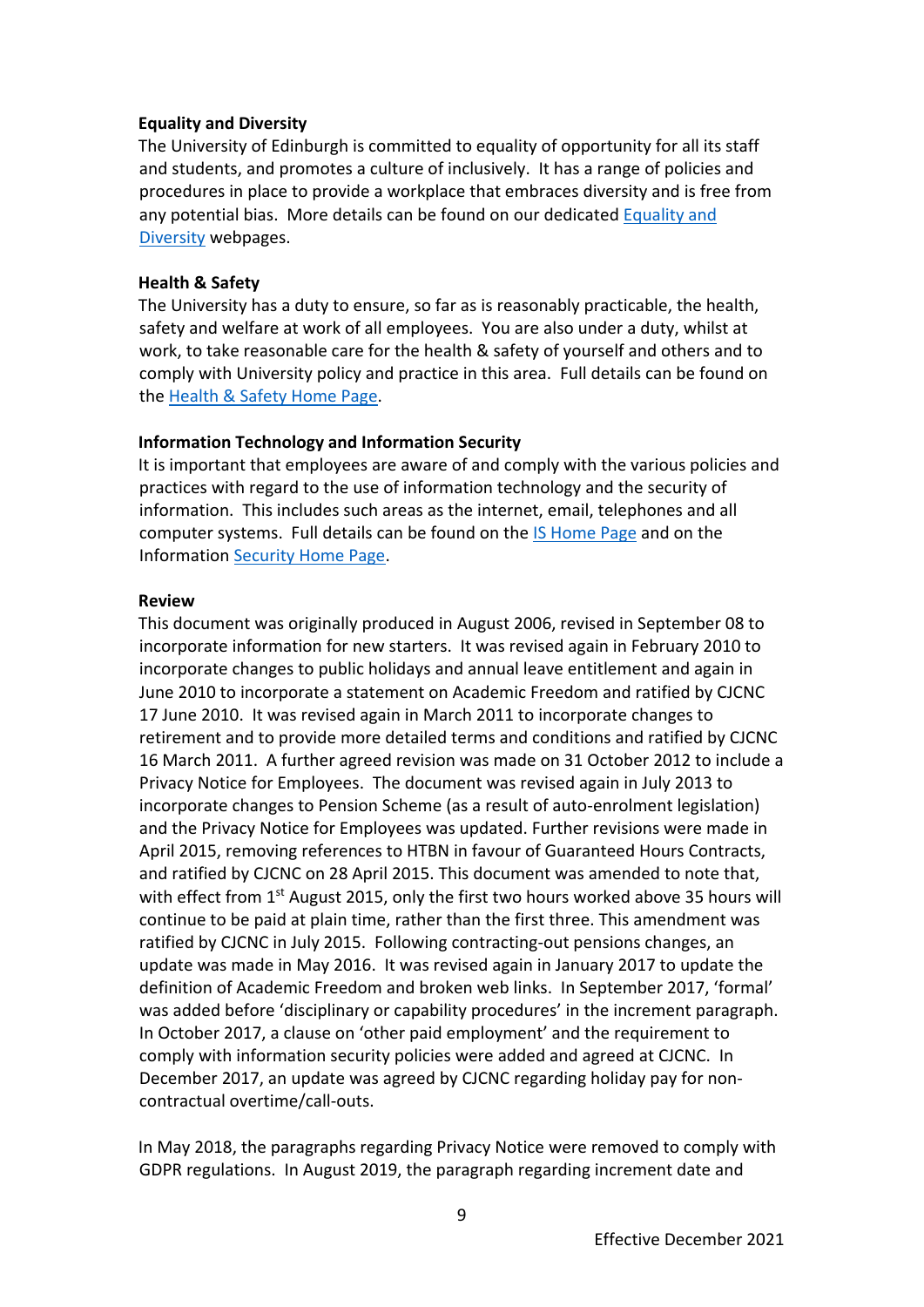#### **Equality and Diversity**

The University of Edinburgh is committed to equality of opportunity for all its staff and students, and promotes a culture of inclusively. It has a range of policies and procedures in place to provide a workplace that embraces diversity and is free from any potential bias. More details can be found on our dedicated [Equality and](https://www.ed.ac.uk/equality-diversity)  [Diversity](https://www.ed.ac.uk/equality-diversity) webpage[s.](http://www.ed.ac.uk/equality-diversity)

### **Health & Safety**

The University has a duty to ensure, so far as is reasonably practicable, the health, safety and welfare at work of all employees. You are also under a duty, whilst at work, to take reasonable care for the health & safety of yourself and others and to comply with University policy and practice in this area. Full details can be found on the [Health & Safety Home Page.](http://www.ed.ac.uk/health-safety)

### **Information Technology and Information Security**

It is important that employees are aware of and comply with the various policies and practices with regard to the use of information technology and the security of information. This includes such areas as the internet, email, telephones and all computer systems. Full details can be found on the **IS Home Page and on the** Information [Security Home Page.](http://www.ed.ac.uk/infosec)

#### **Review**

This document was originally produced in August 2006, revised in September 08 to incorporate information for new starters. It was revised again in February 2010 to incorporate changes to public holidays and annual leave entitlement and again in June 2010 to incorporate a statement on Academic Freedom and ratified by CJCNC 17 June 2010. It was revised again in March 2011 to incorporate changes to retirement and to provide more detailed terms and conditions and ratified by CJCNC 16 March 2011. A further agreed revision was made on 31 October 2012 to include a Privacy Notice for Employees. The document was revised again in July 2013 to incorporate changes to Pension Scheme (as a result of auto-enrolment legislation) and the Privacy Notice for Employees was updated. Further revisions were made in April 2015, removing references to HTBN in favour of Guaranteed Hours Contracts, and ratified by CJCNC on 28 April 2015. This document was amended to note that, with effect from  $1<sup>st</sup>$  August 2015, only the first two hours worked above 35 hours will continue to be paid at plain time, rather than the first three. This amendment was ratified by CJCNC in July 2015. Following contracting-out pensions changes, an update was made in May 2016. It was revised again in January 2017 to update the definition of Academic Freedom and broken web links. In September 2017, 'formal' was added before 'disciplinary or capability procedures' in the increment paragraph. In October 2017, a clause on 'other paid employment' and the requirement to comply with information security policies were added and agreed at CJCNC. In December 2017, an update was agreed by CJCNC regarding holiday pay for noncontractual overtime/call-outs.

In May 2018, the paragraphs regarding Privacy Notice were removed to comply with GDPR regulations. In August 2019, the paragraph regarding increment date and